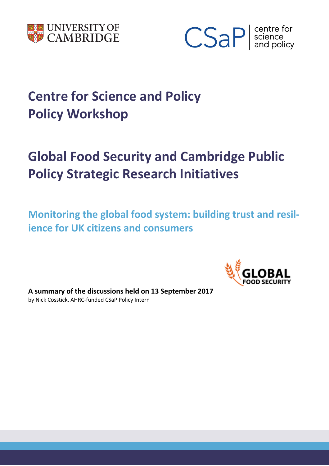



# **Centre for Science and Policy Policy Workshop**

# **Global Food Security and Cambridge Public Policy Strategic Research Initiatives**

**Monitoring the global food system: building trust and resilience for UK citizens and consumers**



**A summary of the discussions held on 13 September 2017** by Nick Cosstick, AHRC-funded CSaP Policy Intern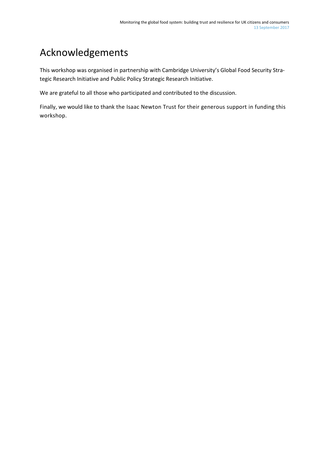# Acknowledgements

This workshop was organised in partnership with Cambridge University's Global Food Security Strategic Research Initiative and Public Policy Strategic Research Initiative.

We are grateful to all those who participated and contributed to the discussion.

Finally, we would like to thank the Isaac Newton Trust for their generous support in funding this workshop.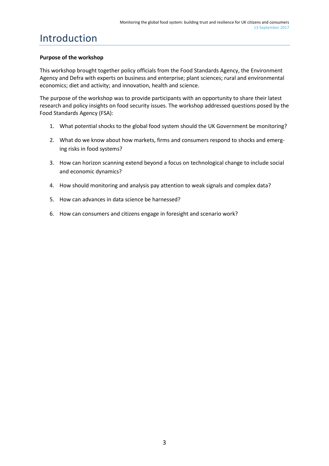# Introduction

#### **Purpose of the workshop**

This workshop brought together policy officials from the Food Standards Agency, the Environment Agency and Defra with experts on business and enterprise; plant sciences; rural and environmental economics; diet and activity; and innovation, health and science.

The purpose of the workshop was to provide participants with an opportunity to share their latest research and policy insights on food security issues. The workshop addressed questions posed by the Food Standards Agency (FSA):

- 1. What potential shocks to the global food system should the UK Government be monitoring?
- 2. What do we know about how markets, firms and consumers respond to shocks and emerging risks in food systems?
- 3. How can horizon scanning extend beyond a focus on technological change to include social and economic dynamics?
- 4. How should monitoring and analysis pay attention to weak signals and complex data?
- 5. How can advances in data science be harnessed?
- 6. How can consumers and citizens engage in foresight and scenario work?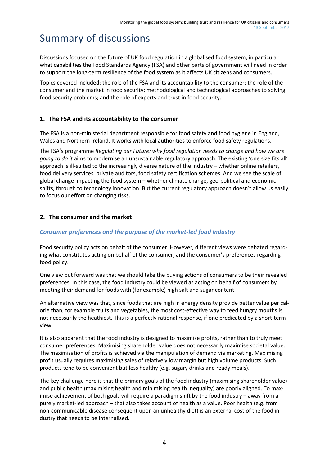# Summary of discussions

Discussions focused on the future of UK food regulation in a globalised food system; in particular what capabilities the Food Standards Agency (FSA) and other parts of government will need in order to support the long-term resilience of the food system as it affects UK citizens and consumers.

Topics covered included: the role of the FSA and its accountability to the consumer; the role of the consumer and the market in food security; methodological and technological approaches to solving food security problems; and the role of experts and trust in food security.

# **1. The FSA and its accountability to the consumer**

The FSA is a non-ministerial department responsible for food safety and food hygiene in England, Wales and Northern Ireland. It works with local authorities to enforce food safety regulations.

The FSA's programme *Regulating our Future: why food regulation needs to change and how we are going to do it* aims to modernise an unsustainable regulatory approach. The existing 'one size fits all' approach is ill-suited to the increasingly diverse nature of the industry – whether online retailers, food delivery services, private auditors, food safety certification schemes. And we see the scale of global change impacting the food system – whether climate change, geo-political and economic shifts, through to technology innovation. But the current regulatory approach doesn't allow us easily to focus our effort on changing risks.

# **2. The consumer and the market**

### *Consumer preferences and the purpose of the market-led food industry*

Food security policy acts on behalf of the consumer. However, different views were debated regarding what constitutes acting on behalf of the consumer, and the consumer's preferences regarding food policy.

One view put forward was that we should take the buying actions of consumers to be their revealed preferences. In this case, the food industry could be viewed as acting on behalf of consumers by meeting their demand for foods with (for example) high salt and sugar content.

An alternative view was that, since foods that are high in energy density provide better value per calorie than, for example fruits and vegetables, the most cost-effective way to feed hungry mouths is not necessarily the heathiest. This is a perfectly rational response, if one predicated by a short-term view.

It is also apparent that the food industry is designed to maximise profits, rather than to truly meet consumer preferences. Maximising shareholder value does not necessarily maximise societal value. The maximisation of profits is achieved via the manipulation of demand via marketing. Maximising profit usually requires maximising sales of relatively low margin but high volume products. Such products tend to be convenient but less healthy (e.g. sugary drinks and ready meals).

The key challenge here is that the primary goals of the food industry (maximising shareholder value) and public health (maximising health and minimising health inequality) are poorly aligned. To maximise achievement of both goals will require a paradigm shift by the food industry – away from a purely market-led approach – that also takes account of health as a value. Poor health (e.g. from non-communicable disease consequent upon an unhealthy diet) is an external cost of the food industry that needs to be internalised.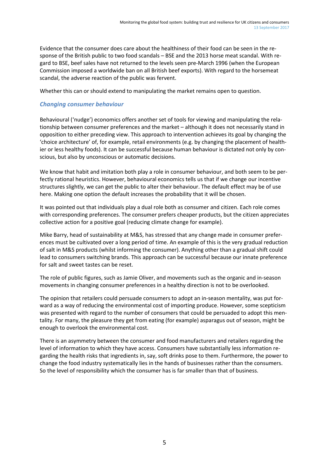Evidence that the consumer does care about the healthiness of their food can be seen in the response of the British public to two food scandals – BSE and the 2013 horse meat scandal. With regard to BSE, beef sales have not returned to the levels seen pre-March 1996 (when the European Commission imposed a worldwide ban on all British beef exports). With regard to the horsemeat scandal, the adverse reaction of the public was fervent.

Whether this can or should extend to manipulating the market remains open to question.

## *Changing consumer behaviour*

Behavioural ('nudge') economics offers another set of tools for viewing and manipulating the relationship between consumer preferences and the market – although it does not necessarily stand in opposition to either preceding view. This approach to intervention achieves its goal by changing the 'choice architecture' of, for example, retail environments (e.g. by changing the placement of healthier or less healthy foods). It can be successful because human behaviour is dictated not only by conscious, but also by unconscious or automatic decisions.

We know that habit and imitation both play a role in consumer behaviour, and both seem to be perfectly rational heuristics. However, behavioural economics tells us that if we change our incentive structures slightly, we can get the public to alter their behaviour. The default effect may be of use here. Making one option the default increases the probability that it will be chosen.

It was pointed out that individuals play a dual role both as consumer and citizen. Each role comes with corresponding preferences. The consumer prefers cheaper products, but the citizen appreciates collective action for a positive goal (reducing climate change for example).

Mike Barry, head of sustainability at M&S, has stressed that any change made in consumer preferences must be cultivated over a long period of time. An example of this is the very gradual reduction of salt in M&S products (whilst informing the consumer). Anything other than a gradual shift could lead to consumers switching brands. This approach can be successful because our innate preference for salt and sweet tastes can be reset.

The role of public figures, such as Jamie Oliver, and movements such as the organic and in-season movements in changing consumer preferences in a healthy direction is not to be overlooked.

The opinion that retailers could persuade consumers to adopt an in-season mentality, was put forward as a way of reducing the environmental cost of importing produce. However, some scepticism was presented with regard to the number of consumers that could be persuaded to adopt this mentality. For many, the pleasure they get from eating (for example) asparagus out of season, might be enough to overlook the environmental cost.

There is an asymmetry between the consumer and food manufacturers and retailers regarding the level of information to which they have access. Consumers have substantially less information regarding the health risks that ingredients in, say, soft drinks pose to them. Furthermore, the power to change the food industry systematically lies in the hands of businesses rather than the consumers. So the level of responsibility which the consumer has is far smaller than that of business.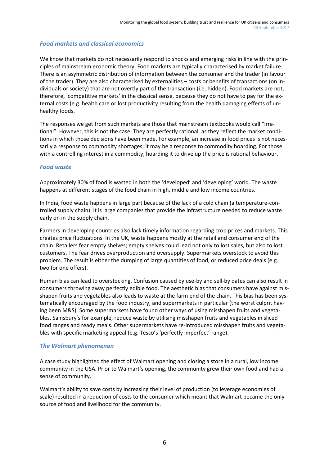# *Food markets and classical economics*

We know that markets do not necessarily respond to shocks and emerging risks in line with the principles of mainstream economic theory. Food markets are typically characterised by market failure. There is an asymmetric distribution of information between the consumer and the trader (in favour of the trader). They are also characterised by externalities – costs or benefits of transactions (on individuals or society) that are not overtly part of the transaction (i.e. hidden). Food markets are not, therefore, 'competitive markets' in the classical sense, because they do not have to pay for the external costs (e.g. health care or lost productivity resulting from the health damaging effects of unhealthy foods.

The responses we get from such markets are those that mainstream textbooks would call "irrational". However, this is not the case. They are perfectly rational, as they reflect the market conditions in which those decisions have been made. For example, an increase in food prices is not necessarily a response to commodity shortages; it may be a response to commodity hoarding. For those with a controlling interest in a commodity, hoarding it to drive up the price is rational behaviour.

#### *Food waste*

Approximately 30% of food is wasted in both the 'developed' and 'developing' world. The waste happens at different stages of the food chain in high, middle and low income countries.

In India, food waste happens in large part because of the lack of a cold chain (a temperature-controlled supply chain). It is large companies that provide the infrastructure needed to reduce waste early on in the supply chain.

Farmers in developing countries also lack timely information regarding crop prices and markets. This creates price fluctuations. In the UK, waste happens mostly at the retail and consumer end of the chain. Retailers fear empty shelves; empty shelves could lead not only to lost sales, but also to lost customers. The fear drives overproduction and oversupply. Supermarkets overstock to avoid this problem. The result is either the dumping of large quantities of food, or reduced price deals (e.g. two for one offers).

Human bias can lead to overstocking. Confusion caused by use-by and sell-by dates can also result in consumers throwing away perfectly edible food. The aesthetic bias that consumers have against misshapen fruits and vegetables also leads to waste at the farm end of the chain. This bias has been systematically encouraged by the food industry, and supermarkets in particular (the worst culprit having been M&S). Some supermarkets have found other ways of using misshapen fruits and vegetables. Sainsbury's for example, reduce waste by utilising misshapen fruits and vegetables in sliced food ranges and ready meals. Other supermarkets have re-introduced misshapen fruits and vegetables with specific marketing appeal (e.g. Tesco's 'perfectly imperfect' range).

#### *The Walmart phenomenon*

A case study highlighted the effect of Walmart opening and closing a store in a rural, low income community in the USA. Prior to Walmart's opening, the community grew their own food and had a sense of community.

Walmart's ability to save costs by increasing their level of production (to leverage economies of scale) resulted in a reduction of costs to the consumer which meant that Walmart became the only source of food and livelihood for the community.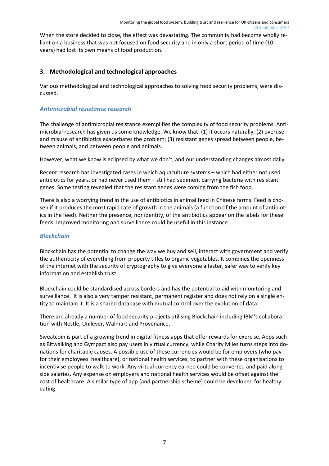When the store decided to close, the effect was devastating. The community had become wholly reliant on a business that was not focused on food security and in only a short period of time (10 years) had lost its own means of food production.

## **3. Methodological and technological approaches**

Various methodological and technological approaches to solving food security problems, were discussed.

#### *Antimicrobial resistance research*

The challenge of antimicrobial resistance exemplifies the complexity of food security problems. Antimicrobial research has given us some knowledge. We know that: (1) it occurs naturally; (2) overuse and misuse of antibiotics exacerbates the problem; (3) resistant genes spread between people, between animals, and between people and animals.

However, what we know is eclipsed by what we don't, and our understanding changes almost daily.

Recent research has investigated cases in which aquaculture systems – which had either not used antibiotics for years, or had never used them – still had sediment carrying bacteria with resistant genes. Some testing revealed that the resistant genes were coming from the fish food.

There is also a worrying trend in the use of antibiotics in animal feed in Chinese farms. Feed is chosen if it produces the most rapid rate of growth in the animals (a function of the amount of antibiotics in the feed). Neither the presence, nor identity, of the antibiotics appear on the labels for these feeds. Improved monitoring and surveillance could be useful in this instance.

#### *Blockchain*

Blockchain has the potential to change the way we buy and sell, interact with government and verify the authenticity of everything from property titles to organic vegetables. It combines the openness of the internet with the security of cryptography to give everyone a faster, safer way to verify key information and establish trust.

Blockchain could be standardised across borders and has the potential to aid with monitoring and surveillance. It is also a very tamper resistant, permanent register and does not rely on a single entity to maintain it. It is a shared database with mutual control over the evolution of data.

There are already a number of food security projects utilising Blockchain including IBM's collaboration with Nestle, Unilever, Walmart and Provenance.

Sweatcoin is part of a growing trend in digital fitness apps that offer rewards for exercise. Apps such as Bitwalking and Gympact also pay users in virtual currency, while Charity Miles turns steps into donations for charitable causes. A possible use of these currencies would be for employers (who pay for their employees' healthcare), or national health services, to partner with these organisations to incentivise people to walk to work. Any virtual currency earned could be converted and paid alongside salaries. Any expense on employers and national health services would be offset against the cost of healthcare. A similar type of app (and partnership scheme) could be developed for healthy eating.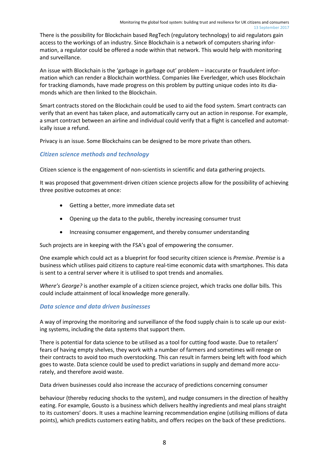There is the possibility for Blockchain based RegTech (regulatory technology) to aid regulators gain access to the workings of an industry. Since Blockchain is a network of computers sharing information, a regulator could be offered a node within that network. This would help with monitoring and surveillance.

An issue with Blockchain is the 'garbage in garbage out' problem – inaccurate or fraudulent information which can render a Blockchain worthless. Companies like Everledger, which uses Blockchain for tracking diamonds, have made progress on this problem by putting unique codes into its diamonds which are then linked to the Blockchain.

Smart contracts stored on the Blockchain could be used to aid the food system. Smart contracts can verify that an event has taken place, and automatically carry out an action in response. For example, a smart contract between an airline and individual could verify that a flight is cancelled and automatically issue a refund.

Privacy is an issue. Some Blockchains can be designed to be more private than others.

# *Citizen science methods and technology*

Citizen science is the engagement of non-scientists in scientific and data gathering projects.

It was proposed that government-driven citizen science projects allow for the possibility of achieving three positive outcomes at once:

- Getting a better, more immediate data set
- Opening up the data to the public, thereby increasing consumer trust
- Increasing consumer engagement, and thereby consumer understanding

Such projects are in keeping with the FSA's goal of empowering the consumer.

One example which could act as a blueprint for food security citizen science is *Premise*. *Premise* is a business which utilises paid citizens to capture real-time economic data with smartphones. This data is sent to a central server where it is utilised to spot trends and anomalies.

*Where's George?* is another example of a citizen science project, which tracks one dollar bills. This could include attainment of local knowledge more generally.

### *Data science and data driven businesses*

A way of improving the monitoring and surveillance of the food supply chain is to scale up our existing systems, including the data systems that support them.

There is potential for data science to be utilised as a tool for cutting food waste. Due to retailers' fears of having empty shelves, they work with a number of farmers and sometimes will renege on their contracts to avoid too much overstocking. This can result in farmers being left with food which goes to waste. Data science could be used to predict variations in supply and demand more accurately, and therefore avoid waste.

Data driven businesses could also increase the accuracy of predictions concerning consumer

behaviour (thereby reducing shocks to the system), and nudge consumers in the direction of healthy eating. For example, Gousto is a business which delivers healthy ingredients and meal plans straight to its customers' doors. It uses a machine learning recommendation engine (utilising millions of data points), which predicts customers eating habits, and offers recipes on the back of these predictions.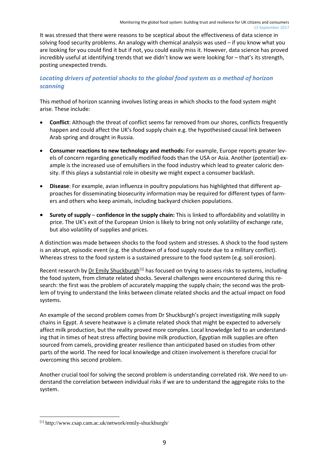It was stressed that there were reasons to be sceptical about the effectiveness of data science in solving food security problems. An analogy with chemical analysis was used – if you know what you are looking for you could find it but if not, you could easily miss it. However, data science has proved incredibly useful at identifying trends that we didn't know we were looking for – that's its strength, posting unexpected trends.

# *Locating drivers of potential shocks to the global food system as a method of horizon scanning*

This method of horizon scanning involves listing areas in which shocks to the food system might arise. These include:

- **Conflict**: Although the threat of conflict seems far removed from our shores, conflicts frequently happen and could affect the UK's food supply chain e.g. the hypothesised causal link between Arab spring and drought in Russia.
- **Consumer reactions to new technology and methods:** For example, Europe reports greater levels of concern regarding genetically modified foods than the USA or Asia. Another (potential) example is the increased use of emulsifiers in the food industry which lead to greater caloric density. If this plays a substantial role in obesity we might expect a consumer backlash.
- **Disease**: For example, avian influenza in poultry populations has highlighted that different approaches for disseminating biosecurity information may be required for different types of farmers and others who keep animals, including backyard chicken populations.
- **Surety of supply confidence in the supply chain:** This is linked to affordability and volatility in price. The UK's exit of the European Union is likely to bring not only volatility of exchange rate, but also volatility of supplies and prices.

A distinction was made between shocks to the food system and stresses. A shock to the food system is an abrupt, episodic event (e.g. the shutdown of a food supply route due to a military conflict). Whereas stress to the food system is a sustained pressure to the food system (e.g. soil erosion).

Recent research by [Dr Emily Shuckburgh](http://www.csap.cam.ac.uk/network/emily-shuckburgh/)<sup>[\[1\]](#page-8-0)</sup> has focused on trying to assess risks to systems, including the food system, from climate related shocks. Several challenges were encountered during this research: the first was the problem of accurately mapping the supply chain; the second was the problem of trying to understand the links between climate related shocks and the actual impact on food systems.

An example of the second problem comes from Dr Shuckburgh's project investigating milk supply chains in Egypt. A severe heatwave is a climate related shock that might be expected to adversely affect milk production, but the reality proved more complex. Local knowledge led to an understanding that in times of heat stress affecting bovine milk production, Egyptian milk supplies are often sourced from camels, providing greater resilience than anticipated based on studies from other parts of the world. The need for local knowledge and citizen involvement is therefore crucial for overcoming this second problem.

Another crucial tool for solving the second problem is understanding correlated risk. We need to understand the correlation between individual risks if we are to understand the aggregate risks to the system.

<span id="page-8-0"></span> <sup>[1]</sup> http://www.csap.cam.ac.uk/network/emily-shuckburgh/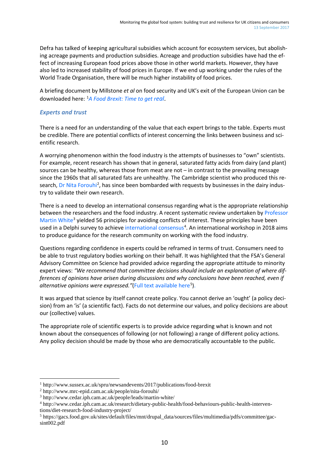Defra has talked of keeping agricultural subsidies which account for ecosystem services, but abolishing acreage payments and production subsidies. Acreage and production subsidies have had the effect of increasing European food prices above those in other world markets. However, they have also led to increased stability of food prices in Europe. If we end up working under the rules of the World Trade Organisation, there will be much higher instability of food prices.

A briefing document by Millstone *et al* on food security and UK's exit of the European Union can be downloaded here: [1](#page-9-0) *A Food [Brexit:](http://www.sussex.ac.uk/spru/newsandevents/2017/publications/food-brexit) Time to get real*.

#### *Experts and trust*

There is a need for an understanding of the value that each expert brings to the table. Experts must be credible. There are potential conflicts of interest concerning the links between business and scientific research.

A worrying phenomenon within the food industry is the attempts of businesses to "own" scientists. For example, recent research has shown that in general, saturated fatty acids from dairy (and plant) sources can be healthy, whereas those from meat are not – in contrast to the prevailing message since the 1960s that all saturated fats are unhealthy. The Cambridge scientist who produced this re-search, Dr Nita [Forouhi](http://www.mrc-epid.cam.ac.uk/people/nita-forouhi/)<sup>[2](#page-9-1)</sup>, has since been bombarded with requests by businesses in the dairy industry to validate their own research.

There is a need to develop an international consensus regarding what is the appropriate relationship between the researchers and the food industry. A recent systematic review undertaken by [Professor](http://www.cedar.iph.cam.ac.uk/people/leads/martin-white/) Martin [White](http://www.cedar.iph.cam.ac.uk/people/leads/martin-white/)<sup>[3](#page-9-2)</sup> yielded 56 principles for avoiding conflicts of interest. These principles have been used in a Delphi survey to achieve [international](http://www.cedar.iph.cam.ac.uk/research/dietary-public-health/food-behaviours-public-health-interventions/diet-research-food-industry-project/) consensus<sup>[4](#page-9-3)</sup>. An international workshop in 2018 aims to produce guidance for the research community on working with the food industry.

Questions regarding confidence in experts could be reframed in terms of trust. Consumers need to be able to trust regulatory bodies working on their behalf. It was highlighted that the FSA's General Advisory Committee on Science had provided advice regarding the appropriate attitude to minority expert views: *"We recommend that committee decisions should include an explanation of where differences of opinions have arisen during discussions and why conclusions have been reached, even if alternative opinions were expressed."*(Full text [available](https://gacs.food.gov.uk/sites/default/files/mnt/drupal_data/sources/files/multimedia/pdfs/committee/gacsint002.pdf) here[5](#page-9-4) ).

It was argued that science by itself cannot create policy. You cannot derive an 'ought' (a policy decision) from an 'is' (a scientific fact). Facts do not determine our values, and policy decisions are about our (collective) values.

The appropriate role of scientific experts is to provide advice regarding what is known and not known about the consequences of following (or not following) a range of different policy actions. Any policy decision should be made by those who are democratically accountable to the public.

<span id="page-9-0"></span> <sup>1</sup> http://www.sussex.ac.uk/spru/newsandevents/2017/publications/food-brexit

<span id="page-9-1"></span><sup>2</sup> http://www.mrc-epid.cam.ac.uk/people/nita-forouhi/

<span id="page-9-2"></span><sup>3</sup> http://www.cedar.iph.cam.ac.uk/people/leads/martin-white/

<span id="page-9-3"></span><sup>4</sup> http://www.cedar.iph.cam.ac.uk/research/dietary-public-health/food-behaviours-public-health-interventions/diet-research-food-industry-project/

<span id="page-9-4"></span><sup>5</sup> https://gacs.food.gov.uk/sites/default/files/mnt/drupal\_data/sources/files/multimedia/pdfs/committee/gacsint002.pdf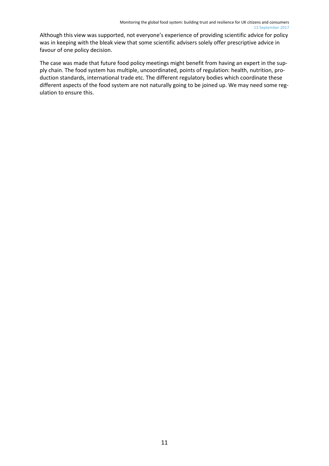Although this view was supported, not everyone's experience of providing scientific advice for policy was in keeping with the bleak view that some scientific advisers solely offer prescriptive advice in favour of one policy decision.

The case was made that future food policy meetings might benefit from having an expert in the supply chain. The food system has multiple, uncoordinated, points of regulation: health, nutrition, production standards, international trade etc. The different regulatory bodies which coordinate these different aspects of the food system are not naturally going to be joined up. We may need some regulation to ensure this.